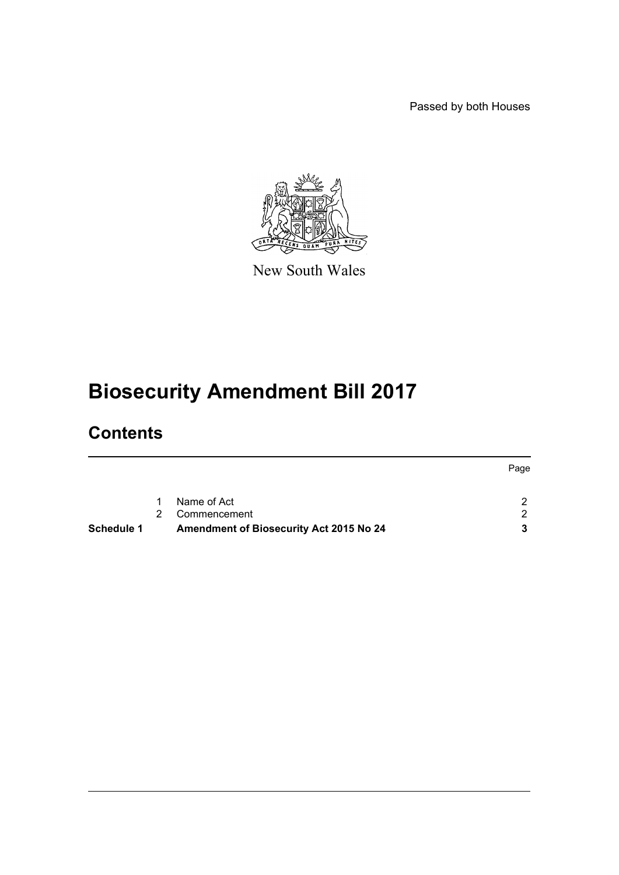Passed by both Houses



New South Wales

# **Biosecurity Amendment Bill 2017**

# **Contents**

|            |    |                                                | Page          |
|------------|----|------------------------------------------------|---------------|
|            | 1  | Name of Act                                    | $\mathcal{D}$ |
|            | 2. | Commencement                                   | 2.            |
| Schedule 1 |    | <b>Amendment of Biosecurity Act 2015 No 24</b> | 3             |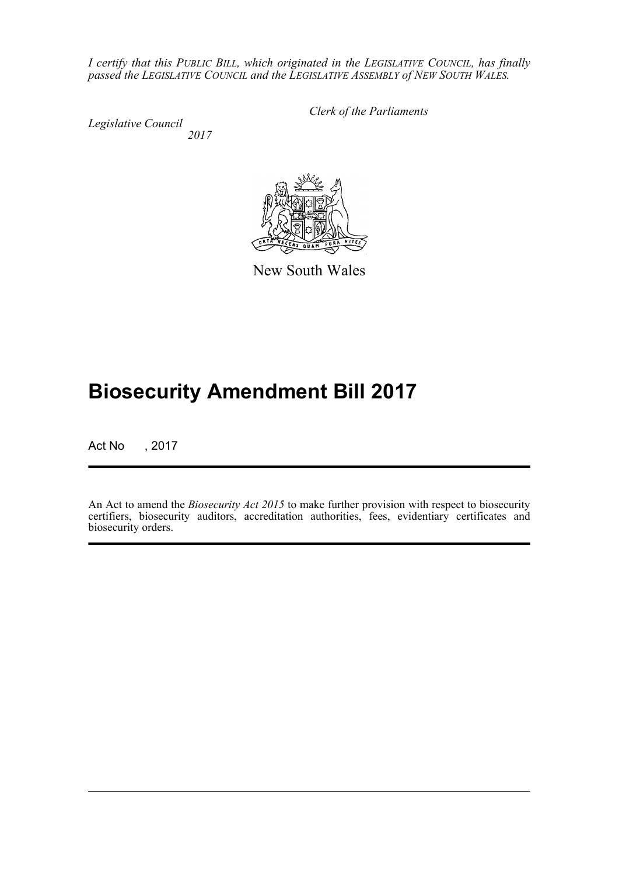*I certify that this PUBLIC BILL, which originated in the LEGISLATIVE COUNCIL, has finally passed the LEGISLATIVE COUNCIL and the LEGISLATIVE ASSEMBLY of NEW SOUTH WALES.*

*Legislative Council 2017* *Clerk of the Parliaments*



New South Wales

# **Biosecurity Amendment Bill 2017**

Act No , 2017

An Act to amend the *Biosecurity Act 2015* to make further provision with respect to biosecurity certifiers, biosecurity auditors, accreditation authorities, fees, evidentiary certificates and biosecurity orders.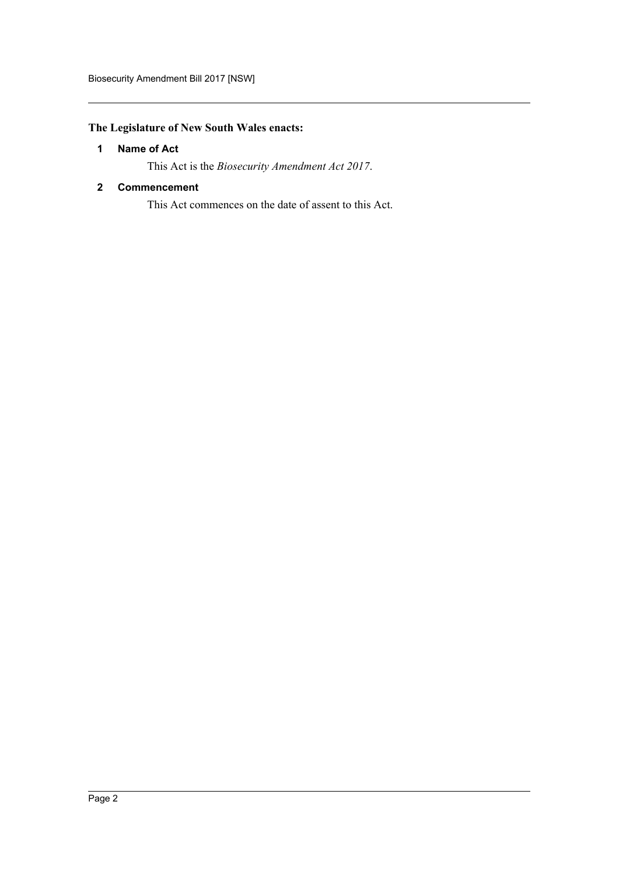# <span id="page-2-0"></span>**The Legislature of New South Wales enacts:**

# **1 Name of Act**

This Act is the *Biosecurity Amendment Act 2017*.

# <span id="page-2-1"></span>**2 Commencement**

This Act commences on the date of assent to this Act.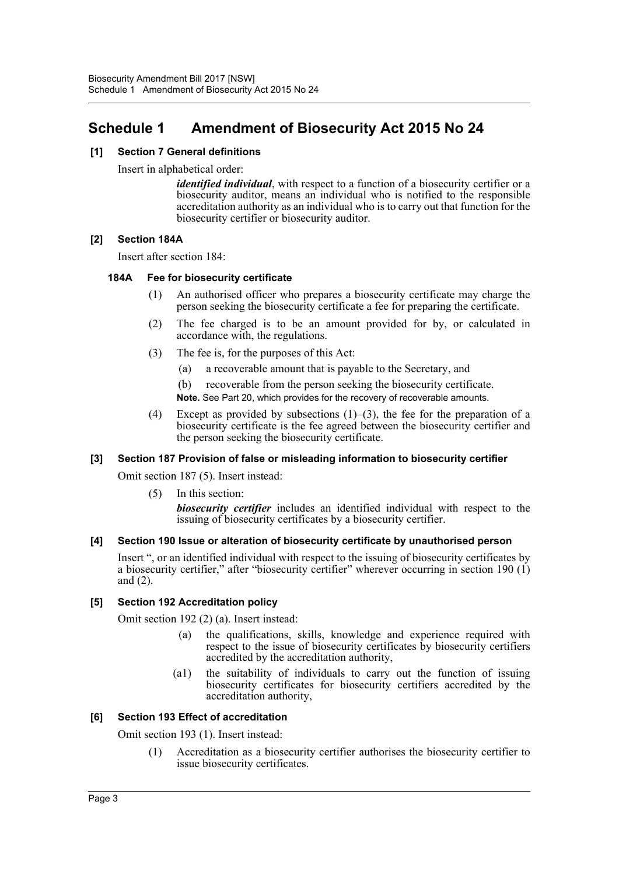# <span id="page-3-0"></span>**Schedule 1 Amendment of Biosecurity Act 2015 No 24**

# **[1] Section 7 General definitions**

Insert in alphabetical order:

*identified individual*, with respect to a function of a biosecurity certifier or a biosecurity auditor, means an individual who is notified to the responsible accreditation authority as an individual who is to carry out that function for the biosecurity certifier or biosecurity auditor.

# **[2] Section 184A**

Insert after section 184:

# **184A Fee for biosecurity certificate**

- (1) An authorised officer who prepares a biosecurity certificate may charge the person seeking the biosecurity certificate a fee for preparing the certificate.
- (2) The fee charged is to be an amount provided for by, or calculated in accordance with, the regulations.
- (3) The fee is, for the purposes of this Act:
	- (a) a recoverable amount that is payable to the Secretary, and
	- (b) recoverable from the person seeking the biosecurity certificate.
	- **Note.** See Part 20, which provides for the recovery of recoverable amounts.
- (4) Except as provided by subsections  $(1)$ –(3), the fee for the preparation of a biosecurity certificate is the fee agreed between the biosecurity certifier and the person seeking the biosecurity certificate.

# **[3] Section 187 Provision of false or misleading information to biosecurity certifier**

Omit section 187 (5). Insert instead:

(5) In this section:

*biosecurity certifier* includes an identified individual with respect to the issuing of biosecurity certificates by a biosecurity certifier.

# **[4] Section 190 Issue or alteration of biosecurity certificate by unauthorised person**

Insert ", or an identified individual with respect to the issuing of biosecurity certificates by a biosecurity certifier," after "biosecurity certifier" wherever occurring in section 190 (1) and (2).

#### **[5] Section 192 Accreditation policy**

Omit section 192 (2) (a). Insert instead:

- the qualifications, skills, knowledge and experience required with respect to the issue of biosecurity certificates by biosecurity certifiers accredited by the accreditation authority,
- (a1) the suitability of individuals to carry out the function of issuing biosecurity certificates for biosecurity certifiers accredited by the accreditation authority,

# **[6] Section 193 Effect of accreditation**

Omit section 193 (1). Insert instead:

(1) Accreditation as a biosecurity certifier authorises the biosecurity certifier to issue biosecurity certificates.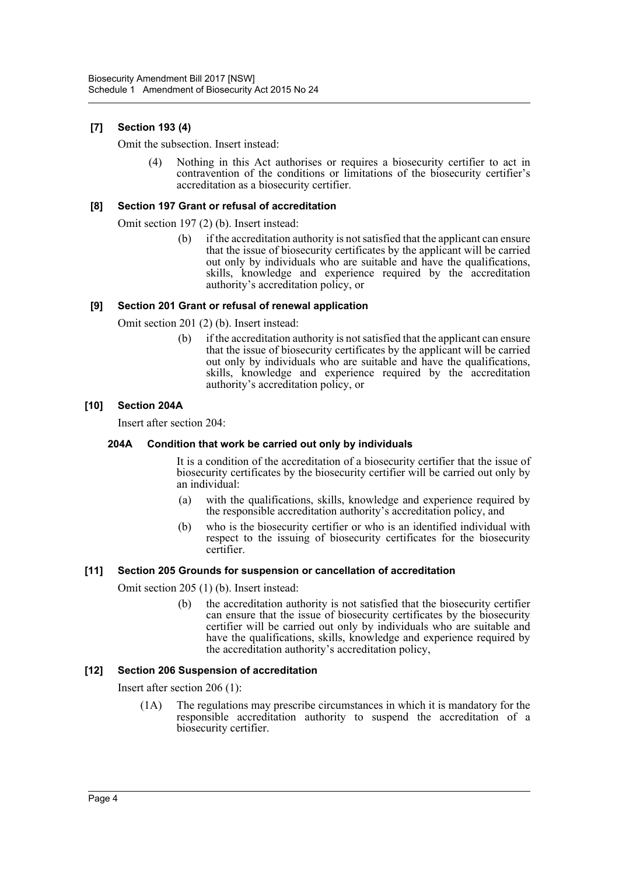# **[7] Section 193 (4)**

Omit the subsection. Insert instead:

(4) Nothing in this Act authorises or requires a biosecurity certifier to act in contravention of the conditions or limitations of the biosecurity certifier's accreditation as a biosecurity certifier.

# **[8] Section 197 Grant or refusal of accreditation**

Omit section 197 (2) (b). Insert instead:

(b) if the accreditation authority is not satisfied that the applicant can ensure that the issue of biosecurity certificates by the applicant will be carried out only by individuals who are suitable and have the qualifications, skills, knowledge and experience required by the accreditation authority's accreditation policy, or

# **[9] Section 201 Grant or refusal of renewal application**

Omit section 201 (2) (b). Insert instead:

(b) if the accreditation authority is not satisfied that the applicant can ensure that the issue of biosecurity certificates by the applicant will be carried out only by individuals who are suitable and have the qualifications, skills, knowledge and experience required by the accreditation authority's accreditation policy, or

# **[10] Section 204A**

Insert after section 204:

#### **204A Condition that work be carried out only by individuals**

It is a condition of the accreditation of a biosecurity certifier that the issue of biosecurity certificates by the biosecurity certifier will be carried out only by an individual:

- (a) with the qualifications, skills, knowledge and experience required by the responsible accreditation authority's accreditation policy, and
- (b) who is the biosecurity certifier or who is an identified individual with respect to the issuing of biosecurity certificates for the biosecurity certifier.

#### **[11] Section 205 Grounds for suspension or cancellation of accreditation**

Omit section 205 (1) (b). Insert instead:

(b) the accreditation authority is not satisfied that the biosecurity certifier can ensure that the issue of biosecurity certificates by the biosecurity certifier will be carried out only by individuals who are suitable and have the qualifications, skills, knowledge and experience required by the accreditation authority's accreditation policy,

# **[12] Section 206 Suspension of accreditation**

Insert after section 206 (1):

(1A) The regulations may prescribe circumstances in which it is mandatory for the responsible accreditation authority to suspend the accreditation of a biosecurity certifier.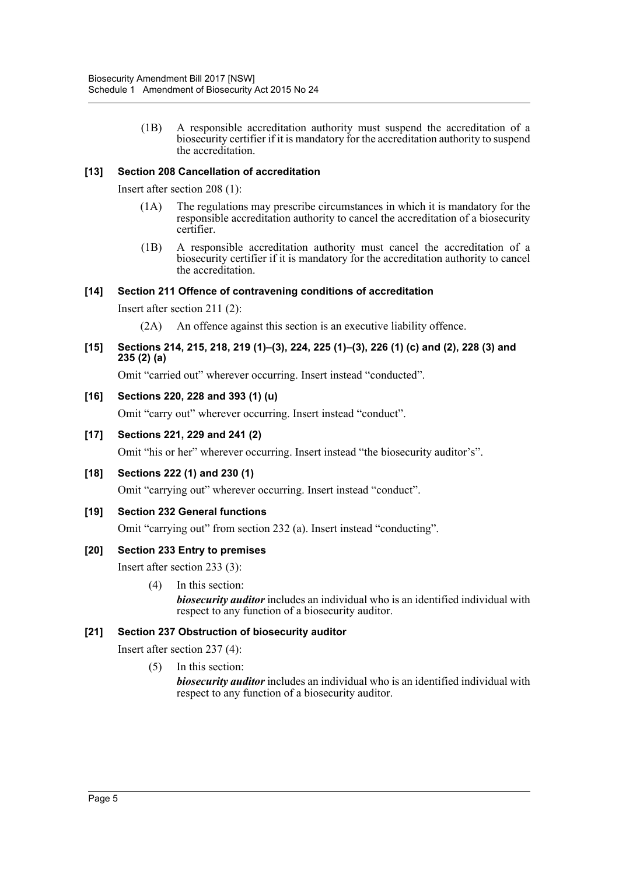(1B) A responsible accreditation authority must suspend the accreditation of a biosecurity certifier if it is mandatory for the accreditation authority to suspend the accreditation.

# **[13] Section 208 Cancellation of accreditation**

Insert after section 208 (1):

- (1A) The regulations may prescribe circumstances in which it is mandatory for the responsible accreditation authority to cancel the accreditation of a biosecurity certifier.
- (1B) A responsible accreditation authority must cancel the accreditation of a biosecurity certifier if it is mandatory for the accreditation authority to cancel the accreditation.

# **[14] Section 211 Offence of contravening conditions of accreditation**

Insert after section 211 (2):

(2A) An offence against this section is an executive liability offence.

# **[15] Sections 214, 215, 218, 219 (1)–(3), 224, 225 (1)–(3), 226 (1) (c) and (2), 228 (3) and 235 (2) (a)**

Omit "carried out" wherever occurring. Insert instead "conducted".

# **[16] Sections 220, 228 and 393 (1) (u)**

Omit "carry out" wherever occurring. Insert instead "conduct".

# **[17] Sections 221, 229 and 241 (2)**

Omit "his or her" wherever occurring. Insert instead "the biosecurity auditor's".

#### **[18] Sections 222 (1) and 230 (1)**

Omit "carrying out" wherever occurring. Insert instead "conduct".

#### **[19] Section 232 General functions**

Omit "carrying out" from section 232 (a). Insert instead "conducting".

#### **[20] Section 233 Entry to premises**

Insert after section 233 (3):

(4) In this section: *biosecurity auditor* includes an individual who is an identified individual with respect to any function of a biosecurity auditor.

# **[21] Section 237 Obstruction of biosecurity auditor**

Insert after section 237 (4):

(5) In this section:

*biosecurity auditor* includes an individual who is an identified individual with respect to any function of a biosecurity auditor.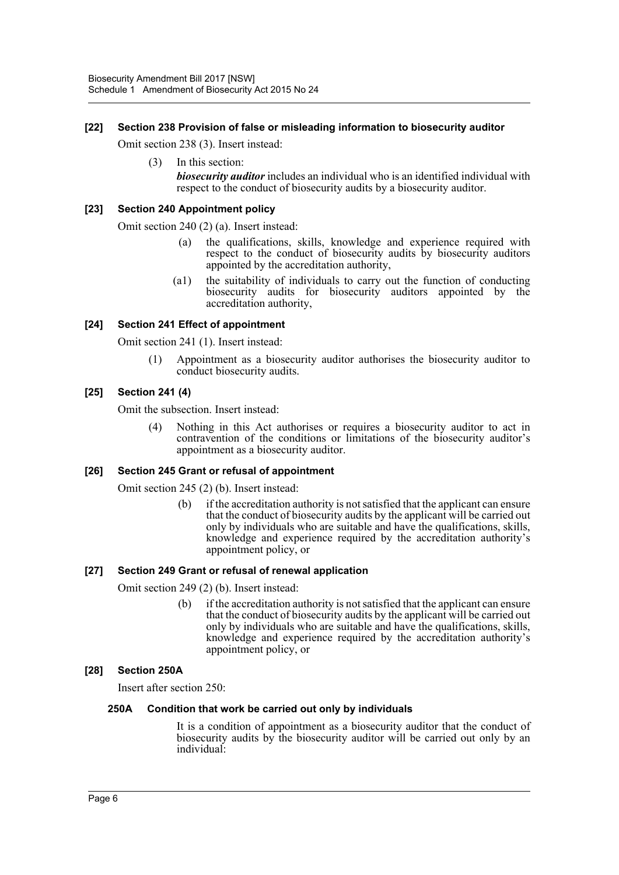# **[22] Section 238 Provision of false or misleading information to biosecurity auditor**

Omit section 238 (3). Insert instead:

(3) In this section: *biosecurity auditor* includes an individual who is an identified individual with respect to the conduct of biosecurity audits by a biosecurity auditor.

#### **[23] Section 240 Appointment policy**

Omit section 240 (2) (a). Insert instead:

- (a) the qualifications, skills, knowledge and experience required with respect to the conduct of biosecurity audits by biosecurity auditors appointed by the accreditation authority,
- (a1) the suitability of individuals to carry out the function of conducting biosecurity audits for biosecurity auditors appointed by the accreditation authority,

# **[24] Section 241 Effect of appointment**

Omit section 241 (1). Insert instead:

(1) Appointment as a biosecurity auditor authorises the biosecurity auditor to conduct biosecurity audits.

# **[25] Section 241 (4)**

Omit the subsection. Insert instead:

(4) Nothing in this Act authorises or requires a biosecurity auditor to act in contravention of the conditions or limitations of the biosecurity auditor's appointment as a biosecurity auditor.

#### **[26] Section 245 Grant or refusal of appointment**

Omit section 245 (2) (b). Insert instead:

(b) if the accreditation authority is not satisfied that the applicant can ensure that the conduct of biosecurity audits by the applicant will be carried out only by individuals who are suitable and have the qualifications, skills, knowledge and experience required by the accreditation authority's appointment policy, or

#### **[27] Section 249 Grant or refusal of renewal application**

Omit section 249 (2) (b). Insert instead:

(b) if the accreditation authority is not satisfied that the applicant can ensure that the conduct of biosecurity audits by the applicant will be carried out only by individuals who are suitable and have the qualifications, skills, knowledge and experience required by the accreditation authority's appointment policy, or

#### **[28] Section 250A**

Insert after section 250:

#### **250A Condition that work be carried out only by individuals**

It is a condition of appointment as a biosecurity auditor that the conduct of biosecurity audits by the biosecurity auditor will be carried out only by an individual: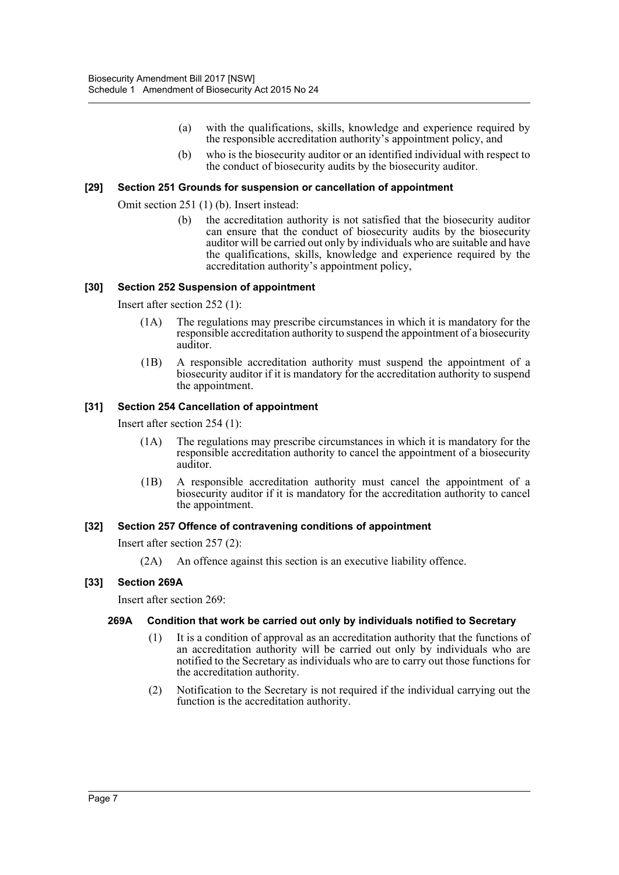- (a) with the qualifications, skills, knowledge and experience required by the responsible accreditation authority's appointment policy, and
- (b) who is the biosecurity auditor or an identified individual with respect to the conduct of biosecurity audits by the biosecurity auditor.

#### **[29] Section 251 Grounds for suspension or cancellation of appointment**

Omit section 251 (1) (b). Insert instead:

(b) the accreditation authority is not satisfied that the biosecurity auditor can ensure that the conduct of biosecurity audits by the biosecurity auditor will be carried out only by individuals who are suitable and have the qualifications, skills, knowledge and experience required by the accreditation authority's appointment policy,

#### **[30] Section 252 Suspension of appointment**

Insert after section 252 (1):

- (1A) The regulations may prescribe circumstances in which it is mandatory for the responsible accreditation authority to suspend the appointment of a biosecurity auditor.
- (1B) A responsible accreditation authority must suspend the appointment of a biosecurity auditor if it is mandatory for the accreditation authority to suspend the appointment.

# **[31] Section 254 Cancellation of appointment**

Insert after section 254 (1):

- (1A) The regulations may prescribe circumstances in which it is mandatory for the responsible accreditation authority to cancel the appointment of a biosecurity auditor.
- (1B) A responsible accreditation authority must cancel the appointment of a biosecurity auditor if it is mandatory for the accreditation authority to cancel the appointment.

#### **[32] Section 257 Offence of contravening conditions of appointment**

Insert after section 257 (2):

(2A) An offence against this section is an executive liability offence.

#### **[33] Section 269A**

Insert after section 269:

#### **269A Condition that work be carried out only by individuals notified to Secretary**

- (1) It is a condition of approval as an accreditation authority that the functions of an accreditation authority will be carried out only by individuals who are notified to the Secretary as individuals who are to carry out those functions for the accreditation authority.
- (2) Notification to the Secretary is not required if the individual carrying out the function is the accreditation authority.